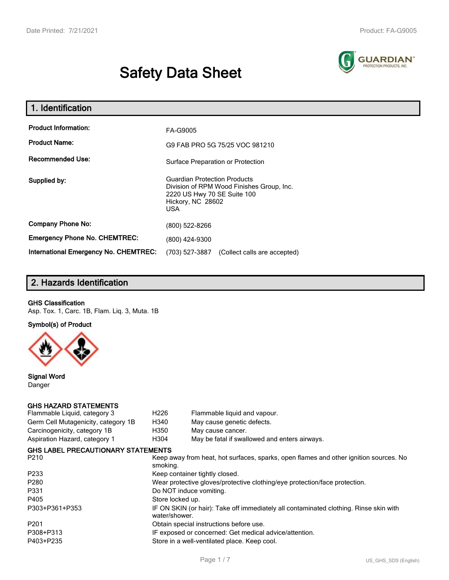# **Safety Data Sheet**



| 1. Identification                                                              |                                                                                                                                                    |  |  |
|--------------------------------------------------------------------------------|----------------------------------------------------------------------------------------------------------------------------------------------------|--|--|
| <b>Product Information:</b><br><b>Product Name:</b><br><b>Recommended Use:</b> | FA-G9005<br>G9 FAB PRO 5G 75/25 VOC 981210<br>Surface Preparation or Protection                                                                    |  |  |
| Supplied by:                                                                   | <b>Guardian Protection Products</b><br>Division of RPM Wood Finishes Group, Inc.<br>2220 US Hwy 70 SE Suite 100<br>Hickory, NC 28602<br><b>USA</b> |  |  |
| <b>Company Phone No:</b>                                                       | (800) 522-8266                                                                                                                                     |  |  |
| <b>Emergency Phone No. CHEMTREC:</b>                                           | (800) 424-9300                                                                                                                                     |  |  |
| International Emergency No. CHEMTREC:                                          | (703) 527-3887<br>(Collect calls are accepted)                                                                                                     |  |  |

# **2. Hazards Identification**

#### **GHS Classification**

Asp. Tox. 1, Carc. 1B, Flam. Liq. 3, Muta. 1B

**Symbol(s) of Product**



**Signal Word** Danger

#### **GHS HAZARD STATEMENTS**

| Flammable Liquid, category 3              | H <sub>226</sub> | Flammable liquid and vapour.                                                          |                      |  |  |  |
|-------------------------------------------|------------------|---------------------------------------------------------------------------------------|----------------------|--|--|--|
| Germ Cell Mutagenicity, category 1B       | H340             | May cause genetic defects.                                                            |                      |  |  |  |
| Carcinogenicity, category 1B              | H350             | May cause cancer.                                                                     |                      |  |  |  |
| Aspiration Hazard, category 1             | H304             | May be fatal if swallowed and enters airways.                                         |                      |  |  |  |
| <b>GHS LABEL PRECAUTIONARY STATEMENTS</b> |                  |                                                                                       |                      |  |  |  |
| P210                                      | smoking.         | Keep away from heat, hot surfaces, sparks, open flames and other ignition sources. No |                      |  |  |  |
| P233                                      |                  | Keep container tightly closed.                                                        |                      |  |  |  |
| P280                                      |                  | Wear protective gloves/protective clothing/eye protection/face protection.            |                      |  |  |  |
| P331                                      |                  | Do NOT induce vomiting.                                                               |                      |  |  |  |
| P405                                      | Store locked up. |                                                                                       |                      |  |  |  |
| P303+P361+P353                            | water/shower.    | IF ON SKIN (or hair): Take off immediately all contaminated clothing. Rinse skin with |                      |  |  |  |
| P201                                      |                  | Obtain special instructions before use.                                               |                      |  |  |  |
| P308+P313                                 |                  | IF exposed or concerned: Get medical advice/attention.                                |                      |  |  |  |
| P403+P235                                 |                  | Store in a well-ventilated place. Keep cool.                                          |                      |  |  |  |
|                                           |                  | Page 1/7                                                                              | US GHS SDS (English) |  |  |  |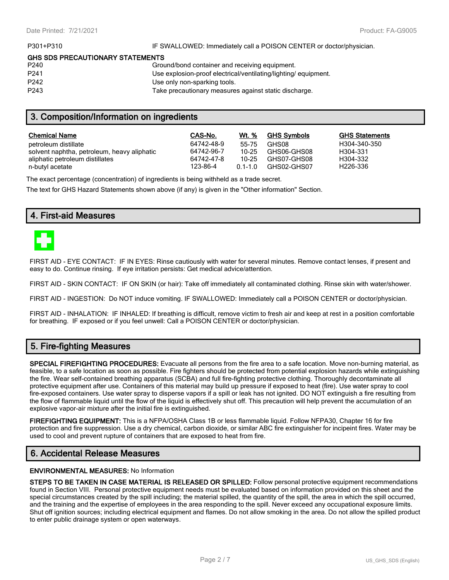P301+P310 **IF SWALLOWED:** Immediately call a POISON CENTER or doctor/physician.

#### **GHS SDS PRECAUTIONARY STATEMENTS**

| P <sub>240</sub> | Ground/bond container and receiving equipment.                 |
|------------------|----------------------------------------------------------------|
| P <sub>241</sub> | Use explosion-proof electrical/ventilating/lighting/equipment. |
| P <sub>242</sub> | Use only non-sparking tools.                                   |
| P <sub>243</sub> | Take precautionary measures against static discharge.          |
|                  |                                                                |

# **3. Composition/Information on ingredients**

| <b>Chemical Name</b>                        | CAS-No.    | Wt. %       | <b>GHS Symbols</b> | <b>GHS Statements</b> |
|---------------------------------------------|------------|-------------|--------------------|-----------------------|
| petroleum distillate                        | 64742-48-9 | 55-75       | GHS08              | H304-340-350          |
| solvent naphtha, petroleum, heavy aliphatic | 64742-96-7 | $10 - 25$   | GHS06-GHS08        | H304-331              |
| aliphatic petroleum distillates             | 64742-47-8 | 10-25       | GHS07-GHS08        | H304-332              |
| n-butyl acetate                             | 123-86-4   | $0.1 - 1.0$ | GHS02-GHS07        | H <sub>226</sub> -336 |

The exact percentage (concentration) of ingredients is being withheld as a trade secret.

The text for GHS Hazard Statements shown above (if any) is given in the "Other information" Section.

# **4. First-aid Measures**



FIRST AID - EYE CONTACT: IF IN EYES: Rinse cautiously with water for several minutes. Remove contact lenses, if present and easy to do. Continue rinsing. If eye irritation persists: Get medical advice/attention.

FIRST AID - SKIN CONTACT: IF ON SKIN (or hair): Take off immediately all contaminated clothing. Rinse skin with water/shower.

FIRST AID - INGESTION: Do NOT induce vomiting. IF SWALLOWED: Immediately call a POISON CENTER or doctor/physician.

FIRST AID - INHALATION: IF INHALED: If breathing is difficult, remove victim to fresh air and keep at rest in a position comfortable for breathing. IF exposed or if you feel unwell: Call a POISON CENTER or doctor/physician.

# **5. Fire-fighting Measures**

**SPECIAL FIREFIGHTING PROCEDURES:** Evacuate all persons from the fire area to a safe location. Move non-burning material, as feasible, to a safe location as soon as possible. Fire fighters should be protected from potential explosion hazards while extinguishing the fire. Wear self-contained breathing apparatus (SCBA) and full fire-fighting protective clothing. Thoroughly decontaminate all protective equipment after use. Containers of this material may build up pressure if exposed to heat (fire). Use water spray to cool fire-exposed containers. Use water spray to disperse vapors if a spill or leak has not ignited. DO NOT extinguish a fire resulting from the flow of flammable liquid until the flow of the liquid is effectively shut off. This precaution will help prevent the accumulation of an explosive vapor-air mixture after the initial fire is extinguished.

**FIREFIGHTING EQUIPMENT:** This is a NFPA/OSHA Class 1B or less flammable liquid. Follow NFPA30, Chapter 16 for fire protection and fire suppression. Use a dry chemical, carbon dioxide, or similar ABC fire extinguisher for incipeint fires. Water may be used to cool and prevent rupture of containers that are exposed to heat from fire.

# **6. Accidental Release Measures**

#### **ENVIRONMENTAL MEASURES:** No Information

**STEPS TO BE TAKEN IN CASE MATERIAL IS RELEASED OR SPILLED:** Follow personal protective equipment recommendations found in Section VIII. Personal protective equipment needs must be evaluated based on information provided on this sheet and the special circumstances created by the spill including; the material spilled, the quantity of the spill, the area in which the spill occurred, and the training and the expertise of employees in the area responding to the spill. Never exceed any occupational exposure limits. Shut off ignition sources; including electrical equipment and flames. Do not allow smoking in the area. Do not allow the spilled product to enter public drainage system or open waterways.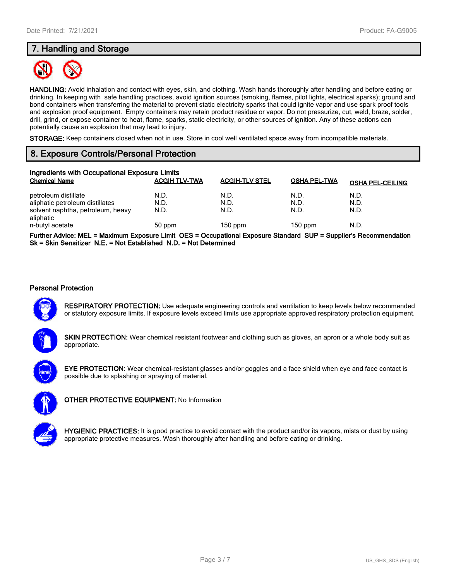# **7. Handling and Storage**



**HANDLING:** Avoid inhalation and contact with eyes, skin, and clothing. Wash hands thoroughly after handling and before eating or drinking. In keeping with safe handling practices, avoid ignition sources (smoking, flames, pilot lights, electrical sparks); ground and bond containers when transferring the material to prevent static electricity sparks that could ignite vapor and use spark proof tools and explosion proof equipment. Empty containers may retain product residue or vapor. Do not pressurize, cut, weld, braze, solder, drill, grind, or expose container to heat, flame, sparks, static electricity, or other sources of ignition. Any of these actions can potentially cause an explosion that may lead to injury.

**STORAGE:** Keep containers closed when not in use. Store in cool well ventilated space away from incompatible materials.

# **8. Exposure Controls/Personal Protection**

| Ingredients with Occupational Exposure Limits  |                      |                       |                     |                         |  |  |
|------------------------------------------------|----------------------|-----------------------|---------------------|-------------------------|--|--|
| <b>Chemical Name</b>                           | <b>ACGIH TLV-TWA</b> | <b>ACGIH-TLV STEL</b> | <b>OSHA PEL-TWA</b> | <b>OSHA PEL-CEILING</b> |  |  |
| petroleum distillate                           | N.D.                 | N.D.                  | N.D.                | N.D.                    |  |  |
| aliphatic petroleum distillates                | N.D.                 | N.D.                  | N.D.                | N.D.                    |  |  |
| solvent naphtha, petroleum, heavy<br>aliphatic | N.D.                 | N.D.                  | N.D.                | N.D.                    |  |  |
| n-butyl acetate                                | 50 ppm               | $150$ ppm             | $150$ ppm           | N.D.                    |  |  |
|                                                |                      |                       |                     |                         |  |  |

**Further Advice: MEL = Maximum Exposure Limit OES = Occupational Exposure Standard SUP = Supplier's Recommendation Sk = Skin Sensitizer N.E. = Not Established N.D. = Not Determined**

#### **Personal Protection**

**RESPIRATORY PROTECTION:** Use adequate engineering controls and ventilation to keep levels below recommended or statutory exposure limits. If exposure levels exceed limits use appropriate approved respiratory protection equipment.

**SKIN PROTECTION:** Wear chemical resistant footwear and clothing such as gloves, an apron or a whole body suit as appropriate.

**EYE PROTECTION:** Wear chemical-resistant glasses and/or goggles and a face shield when eye and face contact is possible due to splashing or spraying of material.



**OTHER PROTECTIVE EQUIPMENT:** No Information



**HYGIENIC PRACTICES:** It is good practice to avoid contact with the product and/or its vapors, mists or dust by using appropriate protective measures. Wash thoroughly after handling and before eating or drinking.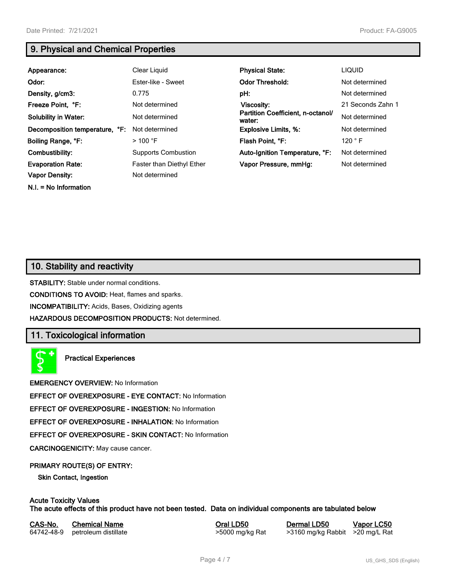**N.I. = No Information**

# **9. Physical and Chemical Properties**

| Appearance:                    | Clear Liquid                     | <b>Physical State:</b>                      | LIQUID            |
|--------------------------------|----------------------------------|---------------------------------------------|-------------------|
| Odor:                          | Ester-like - Sweet               | <b>Odor Threshold:</b>                      | Not determined    |
| Density, g/cm3:                | 0.775                            | pH:                                         | Not determined    |
| Freeze Point, °F:              | Not determined                   | Viscosity:                                  | 21 Seconds Zahn 1 |
| <b>Solubility in Water:</b>    | Not determined                   | Partition Coefficient, n-octanol/<br>water: | Not determined    |
| Decomposition temperature, °F: | Not determined                   | <b>Explosive Limits, %:</b>                 | Not determined    |
| Boiling Range, °F:             | $>100$ °F                        | Flash Point, °F:                            | 120 $\degree$ F   |
| Combustibility:                | <b>Supports Combustion</b>       | Auto-Ignition Temperature, °F:              | Not determined    |
| <b>Evaporation Rate:</b>       | <b>Faster than Diethyl Ether</b> | Vapor Pressure, mmHg:                       | Not determined    |
| <b>Vapor Density:</b>          | Not determined                   |                                             |                   |

# **10. Stability and reactivity**

**STABILITY:** Stable under normal conditions.

**CONDITIONS TO AVOID:** Heat, flames and sparks.

**INCOMPATIBILITY:** Acids, Bases, Oxidizing agents

**HAZARDOUS DECOMPOSITION PRODUCTS:** Not determined.

# **11. Toxicological information**

**Practical Experiences**

**EMERGENCY OVERVIEW:** No Information

**EFFECT OF OVEREXPOSURE - EYE CONTACT:** No Information

**EFFECT OF OVEREXPOSURE - INGESTION:** No Information

**EFFECT OF OVEREXPOSURE - INHALATION:** No Information

**EFFECT OF OVEREXPOSURE - SKIN CONTACT:** No Information

**CARCINOGENICITY:** May cause cancer.

#### **PRIMARY ROUTE(S) OF ENTRY:**

**Skin Contact, Ingestion**

#### **Acute Toxicity Values The acute effects of this product have not been tested. Data on individual components are tabulated below**

| CAS-No. | <b>Chemical Name</b>            | Oral LD50       | <b>Dermal</b> |
|---------|---------------------------------|-----------------|---------------|
|         | 64742-48-9 petroleum distillate | >5000 mg/kg Rat | >3160 n       |

**CAS-No. Chemical Name Oral LD50 Dermal LD50 Vapor LC50** ng/kg Rabbit >20 mg/L Rat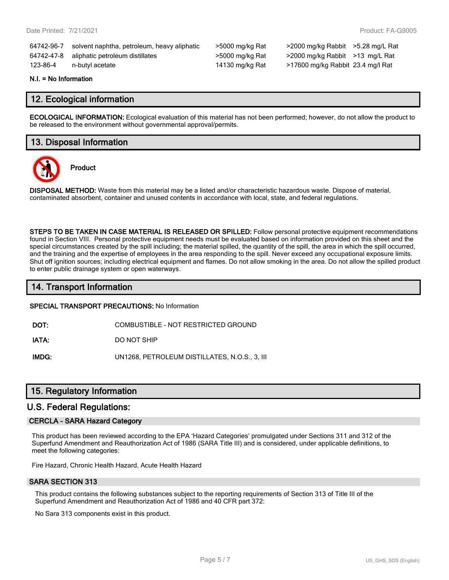| 64742-96-7 | solvent naphtha, petroleum, heavy aliphatic |  |
|------------|---------------------------------------------|--|
| 64742-47-8 | aliphatic petroleum distillates             |  |
| 123-86-4   | n-butyl acetate                             |  |

5000 mg/kg Rat >2000 mg/kg Rabbit >5.28 mg/L Rat >5000 mg/kg Rat >2000 mg/kg Rabbit >13 mg/L Rat 14130 mg/kg Rat >17600 mg/kg Rabbit 23.4 mg/l Rat

#### **N.I. = No Information**

# **12. Ecological information**

**ECOLOGICAL INFORMATION:** Ecological evaluation of this material has not been performed; however, do not allow the product to be released to the environment without governmental approval/permits.

# **13. Disposal Information**



**Product**

**DISPOSAL METHOD:** Waste from this material may be a listed and/or characteristic hazardous waste. Dispose of material, contaminated absorbent, container and unused contents in accordance with local, state, and federal regulations.

**STEPS TO BE TAKEN IN CASE MATERIAL IS RELEASED OR SPILLED:** Follow personal protective equipment recommendations found in Section VIII. Personal protective equipment needs must be evaluated based on information provided on this sheet and the special circumstances created by the spill including; the material spilled, the quantity of the spill, the area in which the spill occurred, and the training and the expertise of employees in the area responding to the spill. Never exceed any occupational exposure limits. Shut off ignition sources; including electrical equipment and flames. Do not allow smoking in the area. Do not allow the spilled product to enter public drainage system or open waterways.

# **14. Transport Information**

#### **SPECIAL TRANSPORT PRECAUTIONS:** No Information

**DOT:** COMBUSTIBLE - NOT RESTRICTED GROUND

**IATA:** DO NOT SHIP

**IMDG:** UN1268, PETROLEUM DISTILLATES, N.O.S., 3, III

# **15. Regulatory Information**

### **U.S. Federal Regulations:**

#### **CERCLA - SARA Hazard Category**

This product has been reviewed according to the EPA 'Hazard Categories' promulgated under Sections 311 and 312 of the Superfund Amendment and Reauthorization Act of 1986 (SARA Title III) and is considered, under applicable definitions, to meet the following categories:

Fire Hazard, Chronic Health Hazard, Acute Health Hazard

#### **SARA SECTION 313**

This product contains the following substances subject to the reporting requirements of Section 313 of Title III of the Superfund Amendment and Reauthorization Act of 1986 and 40 CFR part 372:

No Sara 313 components exist in this product.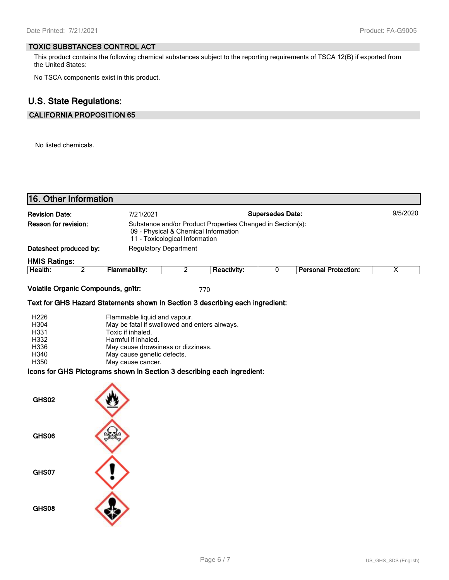#### **TOXIC SUBSTANCES CONTROL ACT**

This product contains the following chemical substances subject to the reporting requirements of TSCA 12(B) if exported from the United States:

No TSCA components exist in this product.

# **U.S. State Regulations:**

# **CALIFORNIA PROPOSITION 65**

No listed chemicals.

|                                                      | 16. Other Information               |                                                                                                                                                                                                                    |                                                                        |                                                            |                         |                             |          |
|------------------------------------------------------|-------------------------------------|--------------------------------------------------------------------------------------------------------------------------------------------------------------------------------------------------------------------|------------------------------------------------------------------------|------------------------------------------------------------|-------------------------|-----------------------------|----------|
| <b>Revision Date:</b><br>Reason for revision:        |                                     | 7/21/2021                                                                                                                                                                                                          | 09 - Physical & Chemical Information<br>11 - Toxicological Information | Substance and/or Product Properties Changed in Section(s): | <b>Supersedes Date:</b> |                             | 9/5/2020 |
|                                                      | Datasheet produced by:              |                                                                                                                                                                                                                    | <b>Regulatory Department</b>                                           |                                                            |                         |                             |          |
| <b>HMIS Ratings:</b>                                 |                                     |                                                                                                                                                                                                                    |                                                                        |                                                            |                         |                             |          |
| Health:                                              | $\overline{2}$                      | <b>Flammability:</b>                                                                                                                                                                                               | $\overline{2}$                                                         | <b>Reactivity:</b>                                         | 0                       | <b>Personal Protection:</b> | X        |
|                                                      | Volatile Organic Compounds, gr/ltr: | Text for GHS Hazard Statements shown in Section 3 describing each ingredient:                                                                                                                                      |                                                                        | 770                                                        |                         |                             |          |
| H226<br>H304<br>H331<br>H332<br>H336<br>H340<br>H350 |                                     | Flammable liquid and vapour.<br>May be fatal if swallowed and enters airways.<br>Toxic if inhaled.<br>Harmful if inhaled.<br>May cause drowsiness or dizziness.<br>May cause genetic defects.<br>May cause cancer. |                                                                        |                                                            |                         |                             |          |
|                                                      |                                     | Icons for GHS Pictograms shown in Section 3 describing each ingredient:                                                                                                                                            |                                                                        |                                                            |                         |                             |          |
| GHS02                                                |                                     |                                                                                                                                                                                                                    |                                                                        |                                                            |                         |                             |          |
| GHS06                                                |                                     |                                                                                                                                                                                                                    |                                                                        |                                                            |                         |                             |          |
| GHS07                                                |                                     |                                                                                                                                                                                                                    |                                                                        |                                                            |                         |                             |          |
| GHS08                                                |                                     |                                                                                                                                                                                                                    |                                                                        |                                                            |                         |                             |          |